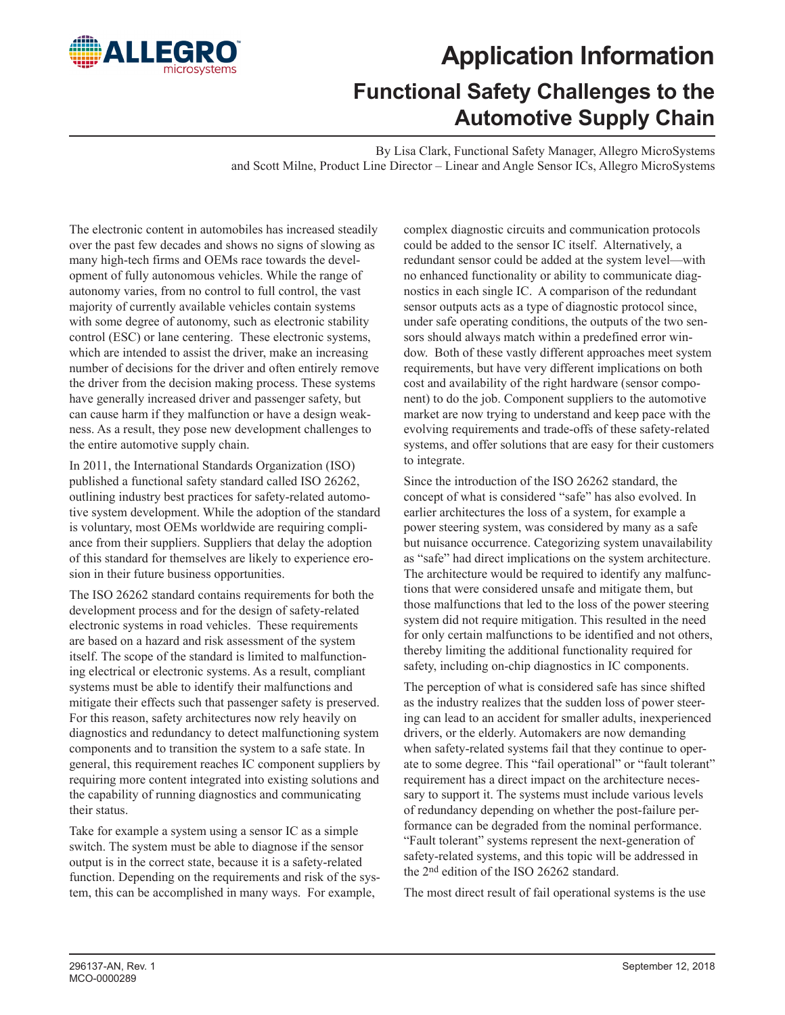

## **Application Information Functional Safety Challenges to the Automotive Supply Chain**

By Lisa Clark, Functional Safety Manager, Allegro MicroSystems and Scott Milne, Product Line Director – Linear and Angle Sensor ICs, Allegro MicroSystems

The electronic content in automobiles has increased steadily over the past few decades and shows no signs of slowing as many high-tech firms and OEMs race towards the development of fully autonomous vehicles. While the range of autonomy varies, from no control to full control, the vast majority of currently available vehicles contain systems with some degree of autonomy, such as electronic stability control (ESC) or lane centering. These electronic systems, which are intended to assist the driver, make an increasing number of decisions for the driver and often entirely remove the driver from the decision making process. These systems have generally increased driver and passenger safety, but can cause harm if they malfunction or have a design weakness. As a result, they pose new development challenges to the entire automotive supply chain.

In 2011, the International Standards Organization (ISO) published a functional safety standard called ISO 26262, outlining industry best practices for safety-related automotive system development. While the adoption of the standard is voluntary, most OEMs worldwide are requiring compliance from their suppliers. Suppliers that delay the adoption of this standard for themselves are likely to experience erosion in their future business opportunities.

The ISO 26262 standard contains requirements for both the development process and for the design of safety-related electronic systems in road vehicles. These requirements are based on a hazard and risk assessment of the system itself. The scope of the standard is limited to malfunctioning electrical or electronic systems. As a result, compliant systems must be able to identify their malfunctions and mitigate their effects such that passenger safety is preserved. For this reason, safety architectures now rely heavily on diagnostics and redundancy to detect malfunctioning system components and to transition the system to a safe state. In general, this requirement reaches IC component suppliers by requiring more content integrated into existing solutions and the capability of running diagnostics and communicating their status.

Take for example a system using a sensor IC as a simple switch. The system must be able to diagnose if the sensor output is in the correct state, because it is a safety-related function. Depending on the requirements and risk of the system, this can be accomplished in many ways. For example,

complex diagnostic circuits and communication protocols could be added to the sensor IC itself. Alternatively, a redundant sensor could be added at the system level—with no enhanced functionality or ability to communicate diagnostics in each single IC. A comparison of the redundant sensor outputs acts as a type of diagnostic protocol since, under safe operating conditions, the outputs of the two sensors should always match within a predefined error window. Both of these vastly different approaches meet system requirements, but have very different implications on both cost and availability of the right hardware (sensor component) to do the job. Component suppliers to the automotive market are now trying to understand and keep pace with the evolving requirements and trade-offs of these safety-related systems, and offer solutions that are easy for their customers to integrate.

Since the introduction of the ISO 26262 standard, the concept of what is considered "safe" has also evolved. In earlier architectures the loss of a system, for example a power steering system, was considered by many as a safe but nuisance occurrence. Categorizing system unavailability as "safe" had direct implications on the system architecture. The architecture would be required to identify any malfunctions that were considered unsafe and mitigate them, but those malfunctions that led to the loss of the power steering system did not require mitigation. This resulted in the need for only certain malfunctions to be identified and not others, thereby limiting the additional functionality required for safety, including on-chip diagnostics in IC components.

The perception of what is considered safe has since shifted as the industry realizes that the sudden loss of power steering can lead to an accident for smaller adults, inexperienced drivers, or the elderly. Automakers are now demanding when safety-related systems fail that they continue to operate to some degree. This "fail operational" or "fault tolerant" requirement has a direct impact on the architecture necessary to support it. The systems must include various levels of redundancy depending on whether the post-failure performance can be degraded from the nominal performance. "Fault tolerant" systems represent the next-generation of safety-related systems, and this topic will be addressed in the 2nd edition of the ISO 26262 standard.

The most direct result of fail operational systems is the use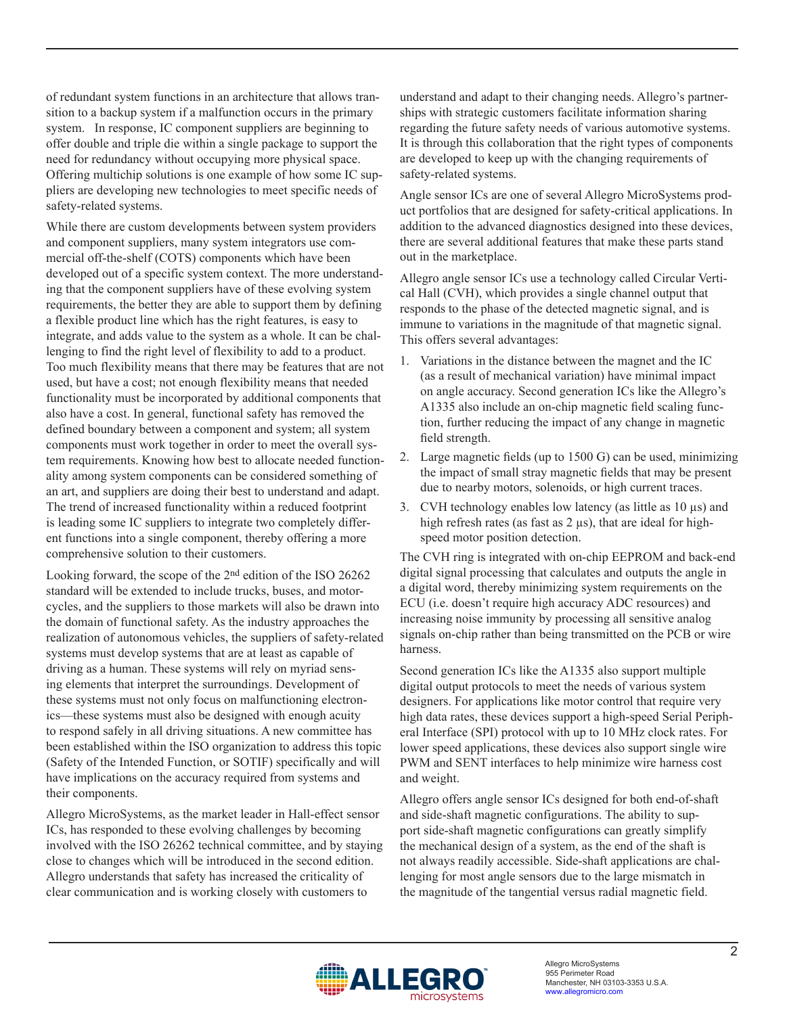of redundant system functions in an architecture that allows transition to a backup system if a malfunction occurs in the primary system. In response, IC component suppliers are beginning to offer double and triple die within a single package to support the need for redundancy without occupying more physical space. Offering multichip solutions is one example of how some IC suppliers are developing new technologies to meet specific needs of safety-related systems.

While there are custom developments between system providers and component suppliers, many system integrators use commercial off-the-shelf (COTS) components which have been developed out of a specific system context. The more understanding that the component suppliers have of these evolving system requirements, the better they are able to support them by defining a flexible product line which has the right features, is easy to integrate, and adds value to the system as a whole. It can be challenging to find the right level of flexibility to add to a product. Too much flexibility means that there may be features that are not used, but have a cost; not enough flexibility means that needed functionality must be incorporated by additional components that also have a cost. In general, functional safety has removed the defined boundary between a component and system; all system components must work together in order to meet the overall system requirements. Knowing how best to allocate needed functionality among system components can be considered something of an art, and suppliers are doing their best to understand and adapt. The trend of increased functionality within a reduced footprint is leading some IC suppliers to integrate two completely different functions into a single component, thereby offering a more comprehensive solution to their customers.

Looking forward, the scope of the 2nd edition of the ISO 26262 standard will be extended to include trucks, buses, and motorcycles, and the suppliers to those markets will also be drawn into the domain of functional safety. As the industry approaches the realization of autonomous vehicles, the suppliers of safety-related systems must develop systems that are at least as capable of driving as a human. These systems will rely on myriad sensing elements that interpret the surroundings. Development of these systems must not only focus on malfunctioning electronics—these systems must also be designed with enough acuity to respond safely in all driving situations. A new committee has been established within the ISO organization to address this topic (Safety of the Intended Function, or SOTIF) specifically and will have implications on the accuracy required from systems and their components.

Allegro MicroSystems, as the market leader in Hall-effect sensor ICs, has responded to these evolving challenges by becoming involved with the ISO 26262 technical committee, and by staying close to changes which will be introduced in the second edition. Allegro understands that safety has increased the criticality of clear communication and is working closely with customers to

understand and adapt to their changing needs. Allegro's partnerships with strategic customers facilitate information sharing regarding the future safety needs of various automotive systems. It is through this collaboration that the right types of components are developed to keep up with the changing requirements of safety-related systems.

Angle sensor ICs are one of several Allegro MicroSystems product portfolios that are designed for safety-critical applications. In addition to the advanced diagnostics designed into these devices, there are several additional features that make these parts stand out in the marketplace.

Allegro angle sensor ICs use a technology called Circular Vertical Hall (CVH), which provides a single channel output that responds to the phase of the detected magnetic signal, and is immune to variations in the magnitude of that magnetic signal. This offers several advantages:

- 1. Variations in the distance between the magnet and the IC (as a result of mechanical variation) have minimal impact on angle accuracy. Second generation ICs like the Allegro's A1335 also include an on-chip magnetic field scaling function, further reducing the impact of any change in magnetic field strength.
- 2. Large magnetic fields (up to 1500 G) can be used, minimizing the impact of small stray magnetic fields that may be present due to nearby motors, solenoids, or high current traces.
- 3. CVH technology enables low latency (as little as 10 µs) and high refresh rates (as fast as 2  $\mu$ s), that are ideal for highspeed motor position detection.

The CVH ring is integrated with on-chip EEPROM and back-end digital signal processing that calculates and outputs the angle in a digital word, thereby minimizing system requirements on the ECU (i.e. doesn't require high accuracy ADC resources) and increasing noise immunity by processing all sensitive analog signals on-chip rather than being transmitted on the PCB or wire harness.

Second generation ICs like the A1335 also support multiple digital output protocols to meet the needs of various system designers. For applications like motor control that require very high data rates, these devices support a high-speed Serial Peripheral Interface (SPI) protocol with up to 10 MHz clock rates. For lower speed applications, these devices also support single wire PWM and SENT interfaces to help minimize wire harness cost and weight.

Allegro offers angle sensor ICs designed for both end-of-shaft and side-shaft magnetic configurations. The ability to support side-shaft magnetic configurations can greatly simplify the mechanical design of a system, as the end of the shaft is not always readily accessible. Side-shaft applications are challenging for most angle sensors due to the large mismatch in the magnitude of the tangential versus radial magnetic field.

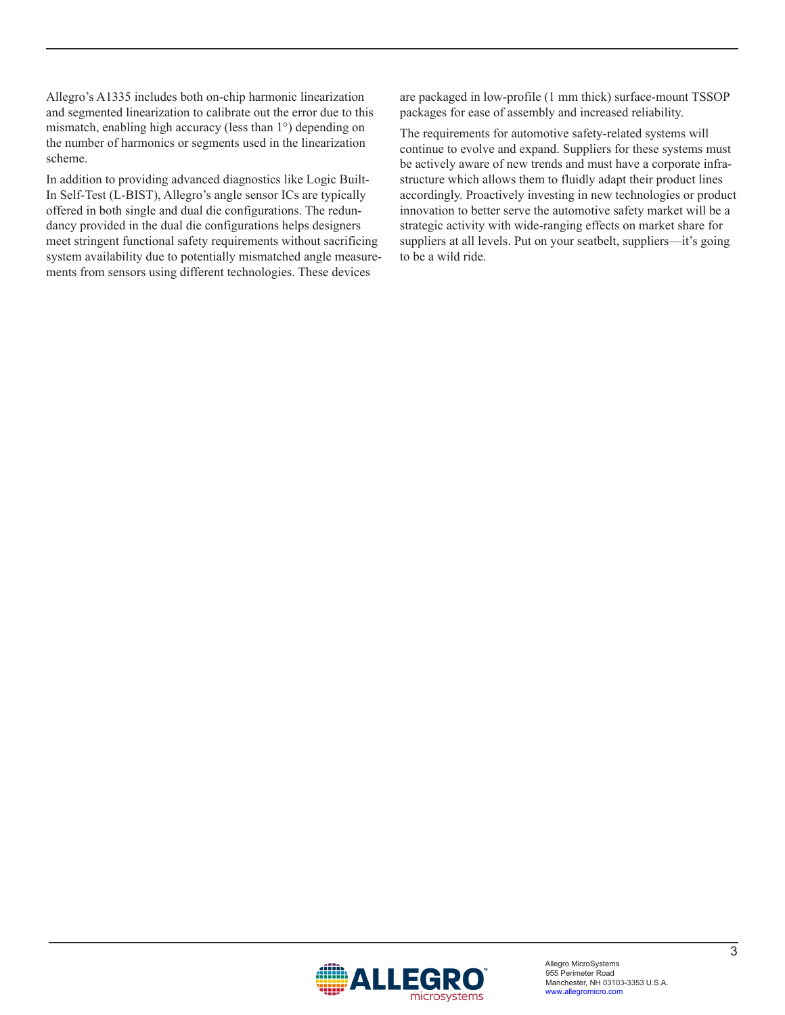Allegro's A1335 includes both on-chip harmonic linearization and segmented linearization to calibrate out the error due to this mismatch, enabling high accuracy (less than 1°) depending on the number of harmonics or segments used in the linearization scheme.

In addition to providing advanced diagnostics like Logic Built-In Self-Test (L-BIST), Allegro's angle sensor ICs are typically offered in both single and dual die configurations. The redundancy provided in the dual die configurations helps designers meet stringent functional safety requirements without sacrificing system availability due to potentially mismatched angle measurements from sensors using different technologies. These devices

are packaged in low-profile (1 mm thick) surface-mount TSSOP packages for ease of assembly and increased reliability.

The requirements for automotive safety-related systems will continue to evolve and expand. Suppliers for these systems must be actively aware of new trends and must have a corporate infrastructure which allows them to fluidly adapt their product lines accordingly. Proactively investing in new technologies or product innovation to better serve the automotive safety market will be a strategic activity with wide-ranging effects on market share for suppliers at all levels. Put on your seatbelt, suppliers—it's going to be a wild ride.